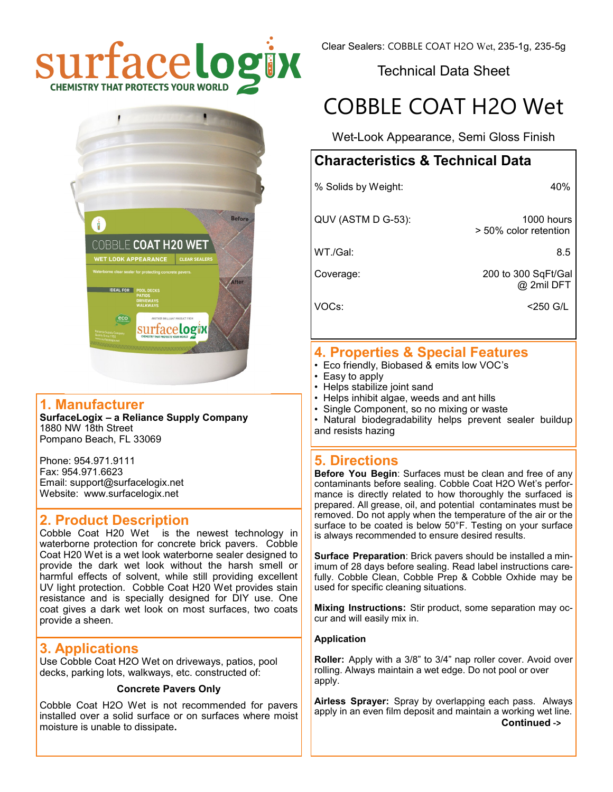

Clear Sealers: COBBLE COAT H2O Wet, 235-1g, 235-5g

Technical Data Sheet

# COBBLE COAT H2O Wet

Wet-Look Appearance, Semi Gloss Finish

# **Characteristics & Technical Data**

% Solids by Weight: 40%

QUV (ASTM D G-53): 1000 hours

> 50% color retention

WT./Gal: 8.5

Coverage: 200 to 300 SqFt/Gal @ 2mil DFT

VOCs: <250 G/L

# **4. Properties & Special Features**

- Eco friendly, Biobased & emits low VOC's
- Easy to apply
- Helps stabilize joint sand
- Helps inhibit algae, weeds and ant hills
- Single Component, so no mixing or waste<br>• Natural biodegradability helps prevent s
- Natural biodegradability helps prevent sealer buildup and resists hazing

# **5. Directions**

**Before You Begin**: Surfaces must be clean and free of any contaminants before sealing. Cobble Coat H2O Wet's performance is directly related to how thoroughly the surfaced is prepared. All grease, oil, and potential contaminates must be removed. Do not apply when the temperature of the air or the surface to be coated is below 50°F. Testing on your surface is always recommended to ensure desired results.

**Surface Preparation**: Brick pavers should be installed a minimum of 28 days before sealing. Read label instructions carefully. Cobble Clean, Cobble Prep & Cobble Oxhide may be used for specific cleaning situations.

**Mixing Instructions:** Stir product, some separation may occur and will easily mix in.

#### **Application**

**Roller:** Apply with a 3/8" to 3/4" nap roller cover. Avoid over rolling. Always maintain a wet edge. Do not pool or over apply.

**Airless Sprayer:** Spray by overlapping each pass. Always apply in an even film deposit and maintain a working wet line.  **Continued ->**



# **1. Manufacturer**

**SurfaceLogix – a Reliance Supply Company** 1880 NW 18th Street Pompano Beach, FL 33069

Phone: 954.971.9111 Fax: 954.971.6623 Email: support@surfacelogix.net Website: www.surfacelogix.net

# **2. Product Description**

Cobble Coat H20 Wet is the newest technology in waterborne protection for concrete brick pavers. Cobble Coat H20 Wet is a wet look waterborne sealer designed to provide the dark wet look without the harsh smell or harmful effects of solvent, while still providing excellent UV light protection. Cobble Coat H20 Wet provides stain resistance and is specially designed for DIY use. One coat gives a dark wet look on most surfaces, two coats provide a sheen.

# **3. Applications**

Use Cobble Coat H2O Wet on driveways, patios, pool decks, parking lots, walkways, etc. constructed of:

#### **Concrete Pavers Only**

Cobble Coat H2O Wet is not recommended for pavers installed over a solid surface or on surfaces where moist moisture is unable to dissipate**.**